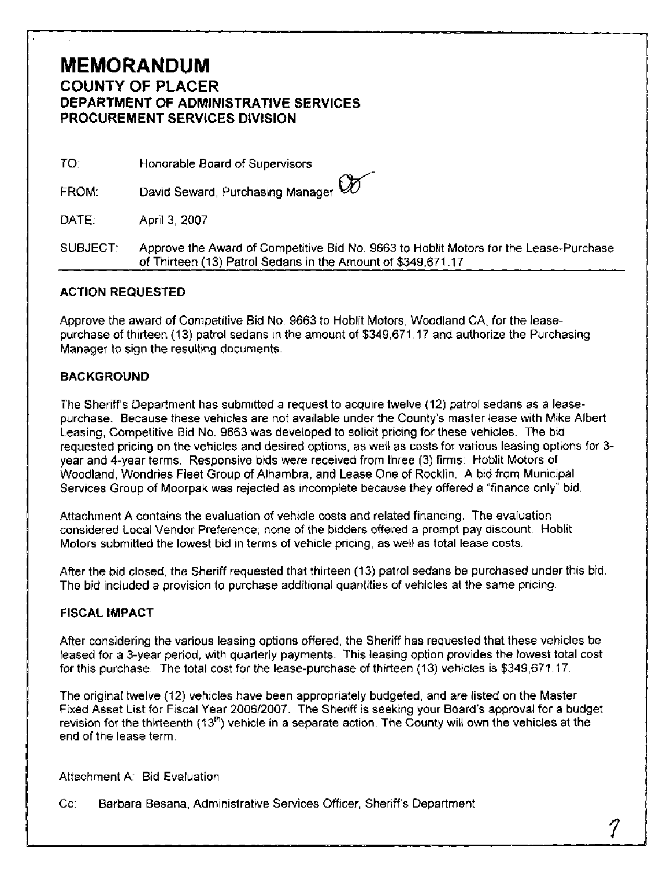# **MEMORANDUM COUNTY OF PLACER DEPARTMENT OF ADMINISTRATIVE SERVICES PROCUREMENT SERVICES DIVISION**

TO: Honorable Board of Supervisors

David Seward, Purchasing Manager  $\bigotimes$ FROM:

DATE: April 3, 2007

SUBJECT: Approve the Award of Competitive Bid No. 9663 to Hoblit Motors for the Lease-Purchase of Thirteen (13) Patrol Sedans in the Amount of \$349,671.17

# **ACTION REQUESTED**

Approve the award of Competitive Bid No. 9663 to Hoblit Motors, Woodland CA, for the leasepurchase of thirteen (13) patrol sedans in the amount of \$349,671.17 and authorize the Purchasing Manager to sign the resulting documents.

# **BACKGROUND**

The Sheriff's Department has submitted a request to acquire twelve (12) patrol sedans as a leasepurchase. Because these vehicles are not available under the County's master lease with Mike Albert Leasing, Competitive Bid No. 9663 was developed to solicit pricing for these vehicles. The bid requested pricing on the vehicles and desired options, as well as costs for various leasing options for 3 year and 4-year terms. Responsive bids were received from three (3) firms: Hoblit Motors of Woodland, Wondries Fleet Group of Alhambra, and Lease One of Rocklin. A bid from Municipal Services Group of Moorpak was rejected as incomplete because they offered a "finance only" bid.

Attachment A contains the evaluation of vehicle costs and related financing. The evaluation considered Local Vendor Preference; none of the bidders offered a prompt pay discount. Hoblit Motors submitted the lowest bid in terms of vehicle pricing, as well as total lease costs.

After the bid closed, the Sheriff requested that thirteen (13) patrol sedans be purchased under this bid. The bid included a provision to purchase additional quantities of vehicles at the same pricing.

# **FISCAL IMPACT**

After considering the various leasing options offered, the Sheriff has requested that these vehicles be leased for a 3-year period, with quarterly payments. This leasing option provides the lowest total cost for this purchase. The total cost for the lease-purchase of thirteen (13) vehicles is \$349,671.17.

The original twelve (12) vehicles have been appropriately budgeted, and are listed on the Master Fixed Asset List for Fiscal Year 2006/2007. The Sheriff is seeking your Board's approval for a budget revision for the thirteenth (13<sup>th</sup>) vehicle in a separate action. The County will own the vehicles at the end of the lease term.

Attachment A: Bid Evaluation

Cc: Barbara Besana, Administrative Services Officer, Sheriff's Department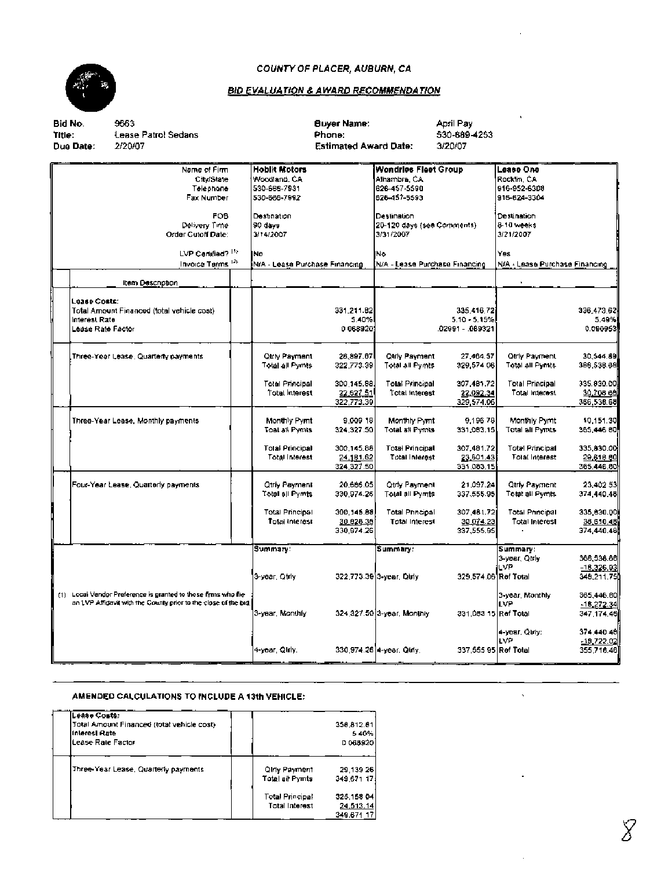

### **COUNTY OF PLACER, AUBURN, CA**

### **BID EVALUATION** & **AWARD RECOMMENDATION**

| Bid No.              | 9663                                                            |                                  | <b>Buyer Name:</b>           |                                         | April Pay            |                                  |              |
|----------------------|-----------------------------------------------------------------|----------------------------------|------------------------------|-----------------------------------------|----------------------|----------------------------------|--------------|
| Title:               | <b>Lease Patrol Sedans</b>                                      |                                  | Phone:                       |                                         | 530-889-4253         |                                  |              |
| Due Date:            | 2/20/07                                                         |                                  | <b>Estimated Award Date:</b> |                                         | 3/20/07              |                                  |              |
|                      | Name of Firm                                                    | <b>Hobilt Motors</b>             |                              | <b>Wondries Fleet Group</b>             |                      | Lease One                        |              |
|                      | City/State                                                      | Woodland, CA                     |                              | Alhambra, CA                            |                      | Rocklin, CA                      |              |
|                      | Telephone                                                       | 530-666-7931                     |                              | 626-457-5590                            |                      | 916-952-6308                     |              |
|                      | Fax Number                                                      | 530-666-7992                     |                              | 626-457-5593                            |                      | 916-624-3304                     |              |
|                      | FOB                                                             | Destination                      |                              | Destination                             |                      | Destination                      |              |
|                      | Delivery Time                                                   | 90 days                          |                              | 20-120 days (see Comments)              |                      | 8-10 weeks                       |              |
|                      | Order Cutoff Date:                                              | 3/14/2007                        |                              | 3/31/2007                               |                      | 3/21/2007                        |              |
|                      | LVP Centified? 117                                              | No                               |                              | <b>INo</b>                              |                      | Yes                              |              |
|                      | Invoice Terms <sup>121</sup>                                    | NrA - Lease Purchase Financing   |                              | N/A - Lease Purchase Financing          |                      | N/A - Lease Purchase Financing   |              |
|                      | Item Description                                                |                                  |                              |                                         |                      | $\blacksquare$                   |              |
| Lease Costs:         |                                                                 |                                  |                              |                                         |                      |                                  |              |
|                      | Total Amount Financed (total vehicle cost)                      |                                  | 331.211.82                   |                                         | 335.416.72           |                                  | 336,473.62   |
| <b>Interest Rate</b> |                                                                 |                                  | 5.40%                        |                                         | $5.10 - 5.15%$       |                                  | 5.49%        |
| Lease Rate Factor    |                                                                 |                                  | 0 068920                     |                                         | 02991 - 089321       |                                  | 0.090953     |
|                      |                                                                 |                                  |                              |                                         | 27.464.57            |                                  | 30.544.89    |
|                      | Three-Year Lease, Quarterly payments                            | Qtriy Payment<br>Total all Pymts | 26,897.67<br>322,773.39      | <b>Qtrly Payment</b><br>Total all Pymts | 329,574 06           | Otrly Payment<br>Total all Pymts | 366,538.68   |
|                      |                                                                 |                                  |                              |                                         |                      |                                  |              |
|                      |                                                                 | <b>Total Principal</b>           | 300,145.88                   | <b>Total Principal</b>                  | 307,481.72           | <b>Total Principal</b>           | 335.830.00   |
|                      |                                                                 | Total Interest                   | 22,627.51                    | Total Interest                          | 22.092.34            | Total Interest                   | 30,708 68    |
|                      |                                                                 |                                  | 322,773.39                   |                                         | 329,574.06           |                                  | 366,538.68   |
|                      | Three-Year Lease, Monthly payments                              | Monthly Pymt                     | 9,009 18                     | Monthly Pymt                            | 9.196.78             | Monthly Pymt                     | 10.151.30    |
|                      |                                                                 | Toal all Pymis                   | 324, 327.50                  | Total all Pymis                         | 331,083.15           | Total all Pymts                  | 365,446.60   |
|                      |                                                                 | <b>Tolal Principal</b>           | 300,145.88                   | <b>Total Principal</b>                  | 307,481.72           | <b>Total Principal</b>           | 335,830.00   |
|                      |                                                                 | <b>Total Interest</b>            | 24,181.62                    | Total Interest                          | 23,601.43            | <b>Total Interest</b>            | 29,616.60    |
|                      |                                                                 |                                  | 324, 327.50                  |                                         | 331.083.15           |                                  | 365.446.80   |
|                      | Four-Year Lease, Quarterly payments                             | Otriy Payment                    | 20,606.05                    | Otrly Payment                           | 21,097.24            | <b>Otrly Payment</b>             | 23,402.53    |
|                      |                                                                 | Total all Pymts                  | 330,974.26                   | Total all Pymts                         | 337.555.95           | Totat all Pymts                  | 374,440.48   |
|                      |                                                                 | Total Principal                  | 300,145.88                   | <b>Total Principal</b>                  | 307,481.72           | <b>Total Principal</b>           | 335,830.00   |
|                      |                                                                 | <b>Total Interest</b>            | 30.828.38                    | <b>Total Interest</b>                   | 30.074.23            | Total Interest                   | 38,610.48    |
|                      |                                                                 |                                  | 330,974.26                   |                                         | 337,555.95           |                                  | 374,440.48   |
|                      |                                                                 | Summary:                         |                              | Summary:                                |                      | Summary:                         |              |
|                      |                                                                 |                                  |                              |                                         |                      | 3-year, Otrly                    | 366,538.88   |
|                      |                                                                 |                                  |                              |                                         |                      | LVP                              | $-18.326.03$ |
|                      |                                                                 | 3-year, Otrly                    |                              | 322,773.39 3-year, Otrly                | 329.574.06 Ref Total |                                  | 348,211.75   |
| (1)                  | Local Vandor Preference is granted to those firms who file      |                                  |                              |                                         |                      | 3-year, Monthly                  | 365,446.80   |
|                      | an LVP Affidavit with the County prior to the close of the bid. |                                  |                              |                                         |                      | LVP                              | $-18,272.34$ |
|                      |                                                                 | 3-year, Monthly                  |                              | 324,327.50 3-year, Monthly              | 331.083.15 Ref Total |                                  | 347, 174.46  |
|                      |                                                                 |                                  |                              |                                         |                      | 4-year, Quly:                    | 374,440.48   |
|                      |                                                                 |                                  |                              |                                         |                      | LVP.                             | $-19.722.02$ |
|                      |                                                                 | 4-year, Qiriy.                   |                              | 330,974.26 4-year, Quly.                | 337,555 95 Ref Total |                                  | 355,718.46   |
|                      |                                                                 |                                  |                              |                                         |                      |                                  |              |

### **AMENDED CALCULATIONS TO INCLUDE A 13th VEHICLE:**

| lLease Costs:<br>Total Amount Financed (total vehicle cost)<br>Interesi Rate<br>lLease Raie Facior |                                                 | 358,812.81<br>540%<br>D 068920        |
|----------------------------------------------------------------------------------------------------|-------------------------------------------------|---------------------------------------|
| Three-Year Lease, Quarterly payments                                                               | Qiriy Payment<br>Total all Pymts                | 29,139,26<br>349,671,17               |
|                                                                                                    | <b>Total Principal</b><br><b>Total Interest</b> | 325,158 04<br>24.513.14<br>349,671.17 |

 $\hat{\mathbf{v}}$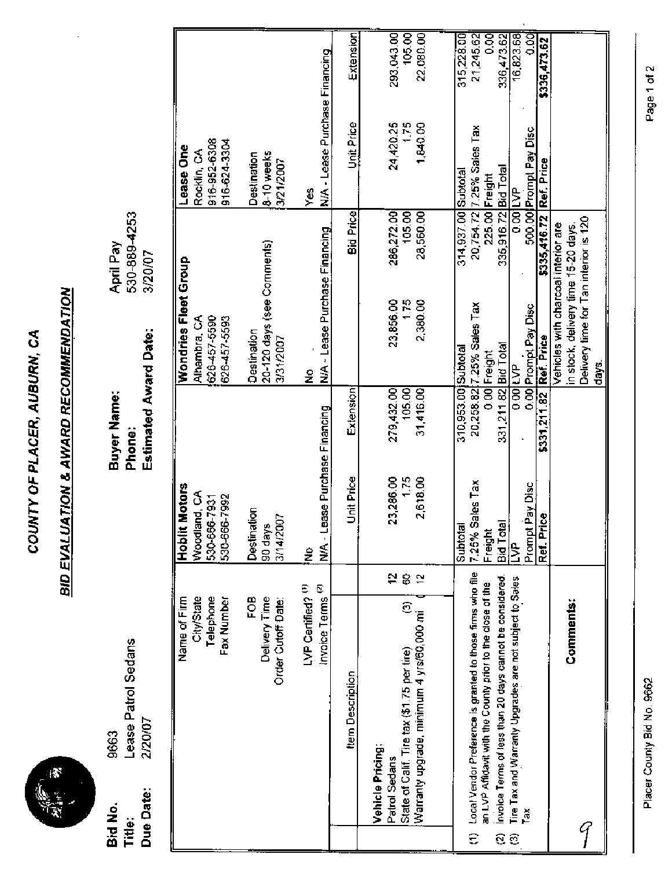

**Vehicle Pricing:**  Patrol Sedans

336,473.62<br>16,823.68  $105.00$ .co Extension 293,043.00 22,080.00 315,228.00  $\overline{a}$ 21,245.62  $$336,473.62$ N/A - Lease Purchase Financing Unit Price 1.75 24,420.25 1,840.00 916-952-6308 916-624-3304 Lease One Rocklin, CA 8-10 weeks Destination 3/21/2007 yes<br>≻ 530-889-4253 No<br>IVIA - Lease Purchase Financing pp 리 선명요 IS X X <u>이</u>야외 April Pay 626-457-5590<br>626-457-5593<br>Destination<br>20-120 days (see Comments)<br>3/31/2007 3/20/07 **BID EVALUATION** & **A WARD RECOMMENDATION Bid No.** 9663 **Buyer Name: April Pay Title: Lease Patrol Sedans**  P**Ps | Andreis | Andreis | Andreis | Andreis | Andreis | Andreis | Andreis | Andreis | Andreis | Andreis | Andr** COUNTY OF PLACER, AUBURN, CA<br><u>ALUATION & AN/ARD RECOMMEND,</u><br>Buyer Name:<br>Phone:<br>Estimated Award Date: **Estimated Award Date:** 3120107 E ভ়|∑ ভ়[জু|≳ ড় Greup <del>G</del> 105.00 279,432.00 31,416.00 Buyer Name: Woodland, CA  $\mathsf{B}\boxtimes\mathsf{B}\boxtimes\mathsf{C}$ 59 21 6 5년이 이렇게 ੋਂ ਤੋਂ ਵਿੱ  $\sim$   $\sim$   $\sim$ Phone:  $|\bar{u}| = |$ Destination 90 days 20-120 days (see Comments) اہ اطب 313 112007 1.75 **Hoblit Motors**<br>Woodland, CA 530-666-7931<br>530-666-7992<br>Destination  $\overline{c}$ No - Invoice Terms **(2)**   $\frac{1}{2}$   $\frac{1}{2}$   $\frac{1}{2}$   $\frac{1}{2}$   $\frac{1}{2}$   $\frac{1}{2}$  $\mathbb{R}$   $\Rightarrow$   $\mathbb{R}$   $\rightarrow$   $\mathbb{R}$   $\rightarrow$   $\mathbb{R}$ LVP Unit Price Extension  $\frac{9}{2}$ |State of Calif. Tire tax (\$1.75 per tire)<br>|Warranty upgrade, minimum 4 yrs/60,000 mi ( 12<br>|Marranty upgrade, minimum 4 yrs/60,000 mi ( 12<br>|Local Vendor Preference is granted to those firms who file<br>|an LVP Affidavit with Invoice Terms of less than 20 days cannot be considered.<br>Tire Tax and Warranty Upgrades are not subject to Sales Invoice Terms<sup>(2)</sup><br>
Vehicle Pricing:<br>
Patrol Sedans<br>
State of Calif. Tire tax (\$1.75 per tire) (3) | 6 23,286.00 279,286.00 279,286.00 279,286.00 279,286.00 279,286.00 279,286.00 279,286.00 279,286.00 279,286.00 2 23,856.00 286,272.00 State of Calif. Tire tax (\$1.75 per tire) **(3) 60**  Comments:  $\mathbb{R}^m$  warranty upgrade, minimum 4 yrs $\mathbb{R}^m$  (i.e.  $\mathbb{R}^m$  (i.e.  $\mathbb{R}^m$  (i.e.  $\mathbb{R}^m$ **12**   $\overline{e}$   $\overline{e}$   $\overline{e}$   $\overline{e}$   $\overline{e}$ 2,380.00 28,560.00  $\frac{3}{2}$   $\frac{5}{2}$   $\frac{8}{1}$   $\frac{1}{3}$   $\frac{1}{2}$  $\begin{bmatrix} \Box \ \end{bmatrix}$  and  $\begin{bmatrix} \Xi \ \end{bmatrix}$  $\frac{1}{2}$ ,  $\frac{1}{2}$ ,  $\frac{1}{2}$ ,  $\frac{1}{2}$ ,  $\frac{1}{2}$ ,  $\frac{1}{2}$ **(1)** Local Vendor Preference is granted to those firms who file and LVP and LVP and County prior to the county prior to the county prior to the county prior to the county of Freight 1985 – De Barbara († 1986)<br>Freight 1986 – De Barbara († 1986) Freight 225.00 e total 31, 1961, 1979, 1989, 1989, 1989, 1989, 1989, 1989, 1989, 1989, 1989, 1989, 1989, 1989, 1989, 1989, 19 , ऽ इ. हे जुड़ी ज **(2)** Invoice Terms of less than **20** days cannot be considered. LVP 0.00 LVP 0.00  $\alpha$  Tire Tax and Warranty Upgrades are not subject to  $S$ 2/20/07 Prompt Pay Disc 0.00 prompt Pay Disc 500.00 9663 **Ref. Price \$331,211.82 Ref. Price \$335,416.72**  Vehicles with charcoal interior are Patrol Sedans ie Stol i d Delivery time for Tan interior is 120 Tax Place <u>| Martin Alexander | 1 of 2002</u> Page 1 of 2002 Page 1 of 2002 Page 1 of 2003 Page 1 of 2003 Page 1 of 200

Bid Price